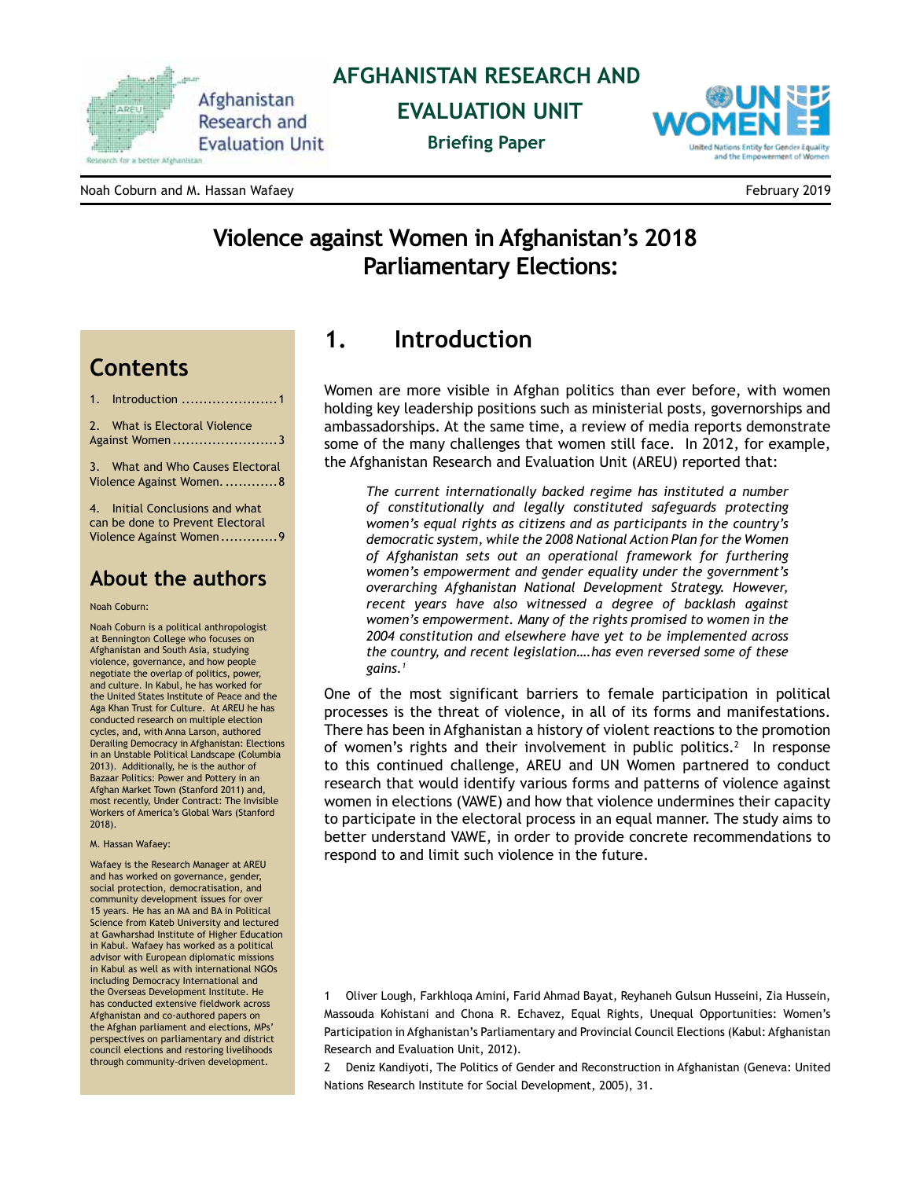

#### **AFGHANISTAN RESEARCH AND**

 **EVALUATION UNIT**

**Briefing Paper**



Noah Coburn and M. Hassan Wafaey February 2019

# **Violence against Women in Afghanistan's 2018 Parliamentary Elections:**

# **Contents**

1. Introduction ......................1

2. [What is Electoral Violence](#page-2-0)  Against Women ......[........................3](#page-2-0)

3. [What and Who Causes Electoral](#page-7-0)  [Violence Against Women.............8](#page-7-0)

4. [Initial Conclusions and what](#page-8-0)  [can be done to Prevent Electoral](#page-8-0)  [Violence Against Women.............9](#page-8-0)

#### **About the authors**

#### Noah Coburn:

Noah Coburn is a political anthropologist at Bennington College who focuses on Afghanistan and South Asia, studying violence, governance, and how people negotiate the overlap of politics, power, and culture. In Kabul, he has worked for the United States Institute of Peace and the Aga Khan Trust for Culture. At AREU he has conducted research on multiple election cycles, and, with Anna Larson, authored Derailing Democracy in Afghanistan: Elections in an Unstable Political Landscape (Columbia 2013). Additionally, he is the author of Bazaar Politics: Power and Pottery in an Afghan Market Town (Stanford 2011) and, most recently, Under Contract: The Invisible Workers of America's Global Wars (Stanford 2018).

#### M. Hassan Wafaey:

Wafaey is the Research Manager at AREU and has worked on governance, gender, social protection, democratisation, and community development issues for over 15 years. He has an MA and BA in Political Science from Kateb University and lectured at Gawharshad Institute of Higher Education in Kabul. Wafaey has worked as a political advisor with European diplomatic missions in Kabul as well as with international NGOs including Democracy International and the Overseas Development Institute. He has conducted extensive fieldwork across Afghanistan and co-authored papers on the Afghan parliament and elections, MPs' perspectives on parliamentary and district council elections and restoring livelihoods through community-driven development.

# **1. Introduction**

Women are more visible in Afghan politics than ever before, with women holding key leadership positions such as ministerial posts, governorships and ambassadorships. At the same time, a review of media reports demonstrate some of the many challenges that women still face. In 2012, for example, the Afghanistan Research and Evaluation Unit (AREU) reported that:

*The current internationally backed regime has instituted a number of constitutionally and legally constituted safeguards protecting women's equal rights as citizens and as participants in the country's democratic system, while the 2008 National Action Plan for the Women of Afghanistan sets out an operational framework for furthering women's empowerment and gender equality under the government's overarching Afghanistan National Development Strategy. However, recent years have also witnessed a degree of backlash against women's empowerment. Many of the rights promised to women in the 2004 constitution and elsewhere have yet to be implemented across the country, and recent legislation….has even reversed some of these gains.1*

One of the most significant barriers to female participation in political processes is the threat of violence, in all of its forms and manifestations. There has been in Afghanistan a history of violent reactions to the promotion of women's rights and their involvement in public politics.<sup>2</sup> In response to this continued challenge, AREU and UN Women partnered to conduct research that would identify various forms and patterns of violence against women in elections (VAWE) and how that violence undermines their capacity to participate in the electoral process in an equal manner. The study aims to better understand VAWE, in order to provide concrete recommendations to respond to and limit such violence in the future.

1 Oliver Lough, Farkhloqa Amini, Farid Ahmad Bayat, Reyhaneh Gulsun Husseini, Zia Hussein, Massouda Kohistani and Chona R. Echavez, Equal Rights, Unequal Opportunities: Women's Participation in Afghanistan's Parliamentary and Provincial Council Elections (Kabul: Afghanistan Research and Evaluation Unit, 2012).

2 Deniz Kandiyoti, The Politics of Gender and Reconstruction in Afghanistan (Geneva: United Nations Research Institute for Social Development, 2005), 31.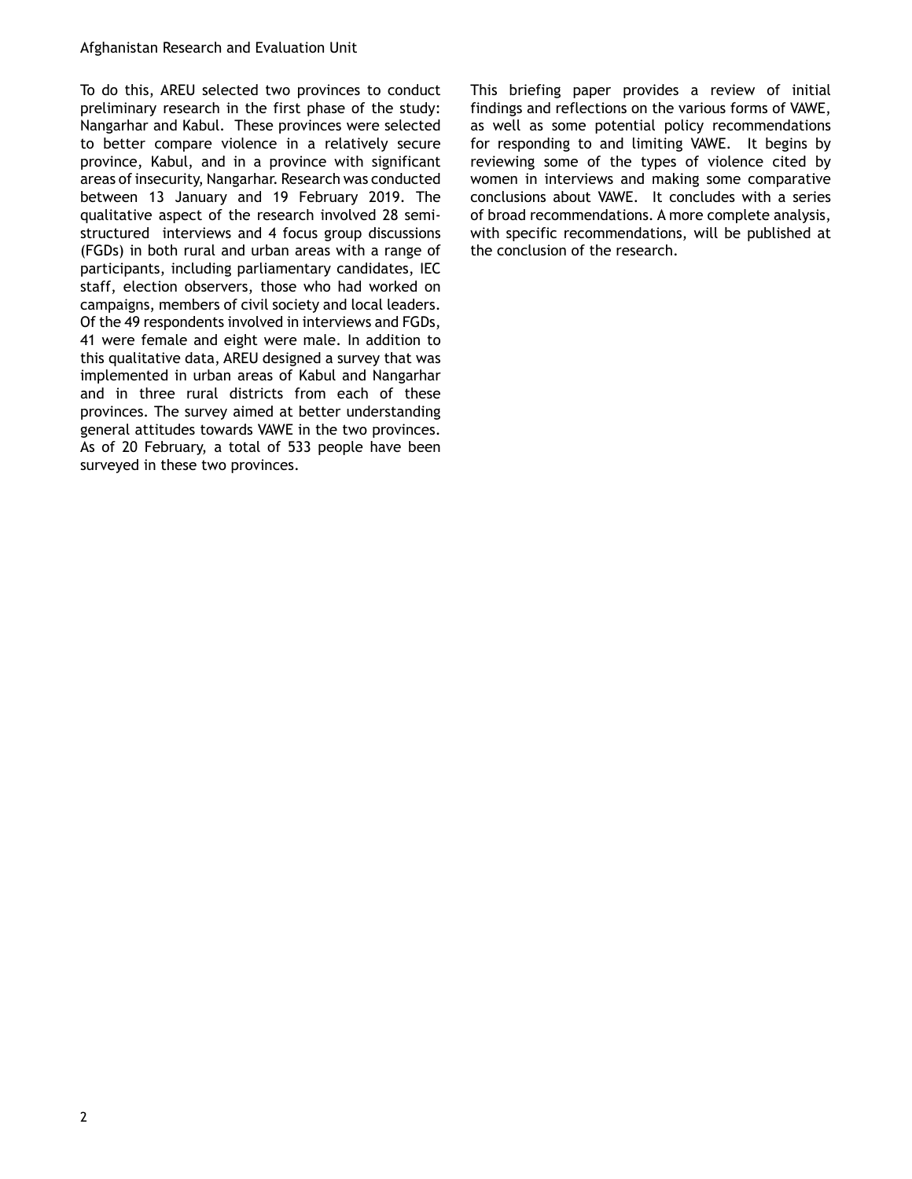To do this, AREU selected two provinces to conduct preliminary research in the first phase of the study: Nangarhar and Kabul. These provinces were selected to better compare violence in a relatively secure province, Kabul, and in a province with significant areas of insecurity, Nangarhar. Research was conducted between 13 January and 19 February 2019. The qualitative aspect of the research involved 28 semistructured interviews and 4 focus group discussions (FGDs) in both rural and urban areas with a range of participants, including parliamentary candidates, IEC staff, election observers, those who had worked on campaigns, members of civil society and local leaders. Of the 49 respondents involved in interviews and FGDs, 41 were female and eight were male. In addition to this qualitative data, AREU designed a survey that was implemented in urban areas of Kabul and Nangarhar and in three rural districts from each of these provinces. The survey aimed at better understanding general attitudes towards VAWE in the two provinces. As of 20 February, a total of 533 people have been surveyed in these two provinces.

This briefing paper provides a review of initial findings and reflections on the various forms of VAWE, as well as some potential policy recommendations for responding to and limiting VAWE. It begins by reviewing some of the types of violence cited by women in interviews and making some comparative conclusions about VAWE. It concludes with a series of broad recommendations. A more complete analysis, with specific recommendations, will be published at the conclusion of the research.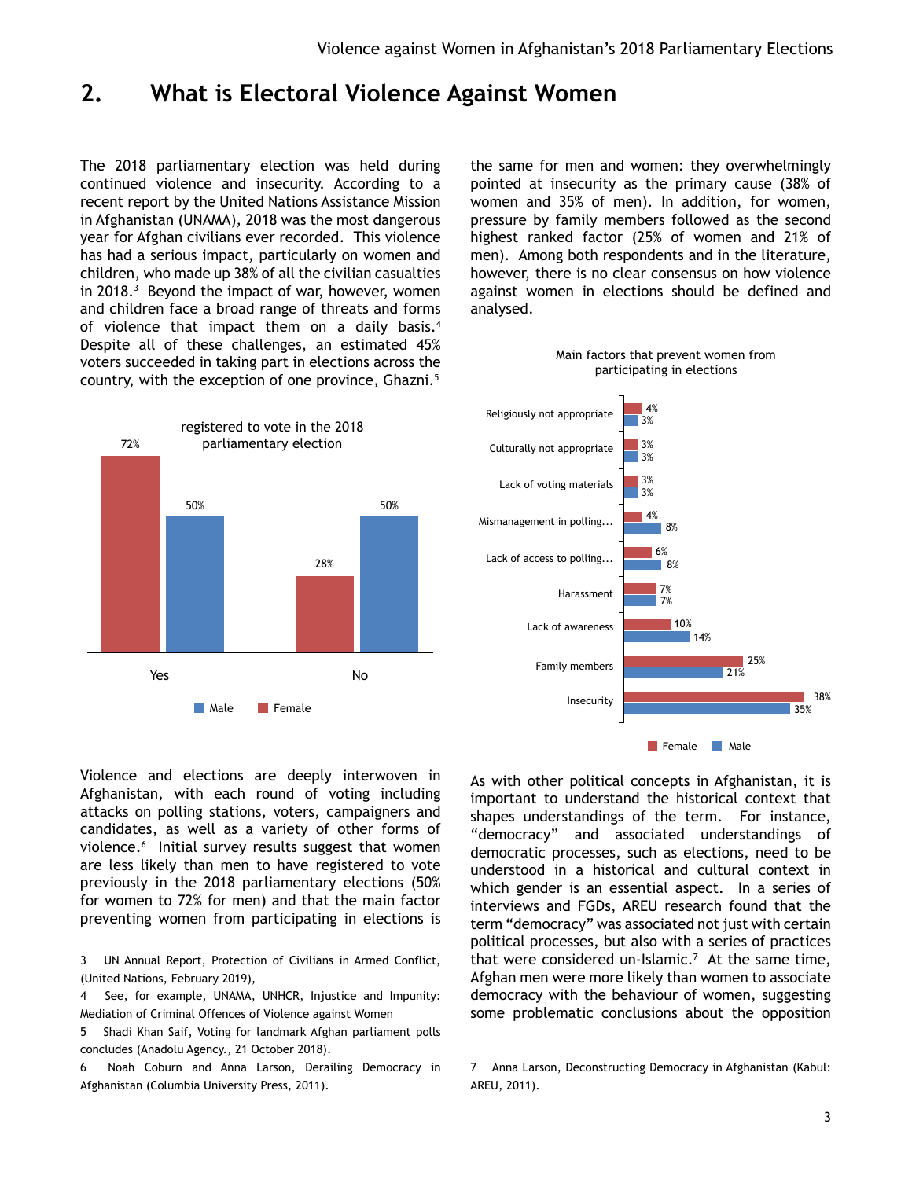# <span id="page-2-0"></span>**2. What is Electoral Violence Against Women**

The 2018 parliamentary election was held during continued violence and insecurity. According to a recent report by the United Nations Assistance Mission in Afghanistan (UNAMA), 2018 was the most dangerous year for Afghan civilians ever recorded. This violence has had a serious impact, particularly on women and children, who made up 38% of all the civilian casualties in 2018.3 Beyond the impact of war, however, women and children face a broad range of threats and forms of violence that impact them on a daily basis.<sup>4</sup> Despite all of these challenges, an estimated 45% voters succeeded in taking part in elections across the country, with the exception of one province, Ghazni.<sup>5</sup>

the same for men and women: they overwhelmingly pointed at insecurity as the primary cause (38% of women and 35% of men). In addition, for women, pressure by family members followed as the second highest ranked factor (25% of women and 21% of men). Among both respondents and in the literature, however, there is no clear consensus on how violence against women in elections should be defined and analysed.





Violence and elections are deeply interwoven in Afghanistan, with each round of voting including attacks on polling stations, voters, campaigners and candidates, as well as a variety of other forms of violence.6 Initial survey results suggest that women are less likely than men to have registered to vote previously in the 2018 parliamentary elections (50% for women to 72% for men) and that the main factor preventing women from participating in elections is

3 UN Annual Report, [Protection of Civilians in Armed Conflict](https://unama.unmissions.org/sites/default/files/afghanistan_protection_of_civilians_annual_report_2018_final_24_feb_2019_0.pdf), (United Nations, February 2019),

- 4 See, for example, UNAMA, UNHCR, Injustice and Impunity: Mediation of Criminal Offences of Violence against Women
- 5 Shadi Khan Saif, Voting for landmark Afghan parliament polls concludes (Anadolu Agency., 21 October 2018).

6 Noah Coburn and Anna Larson, Derailing Democracy in Afghanistan (Columbia University Press, 2011).

As with other political concepts in Afghanistan, it is important to understand the historical context that shapes understandings of the term. For instance, "democracy" and associated understandings of democratic processes, such as elections, need to be understood in a historical and cultural context in which gender is an essential aspect. In a series of interviews and FGDs, AREU research found that the term "democracy" was associated not just with certain political processes, but also with a series of practices that were considered un-Islamic.<sup>7</sup> At the same time, Afghan men were more likely than women to associate democracy with the behaviour of women, suggesting some problematic conclusions about the opposition

<sup>7</sup> Anna Larson, Deconstructing Democracy in Afghanistan (Kabul: AREU, 2011).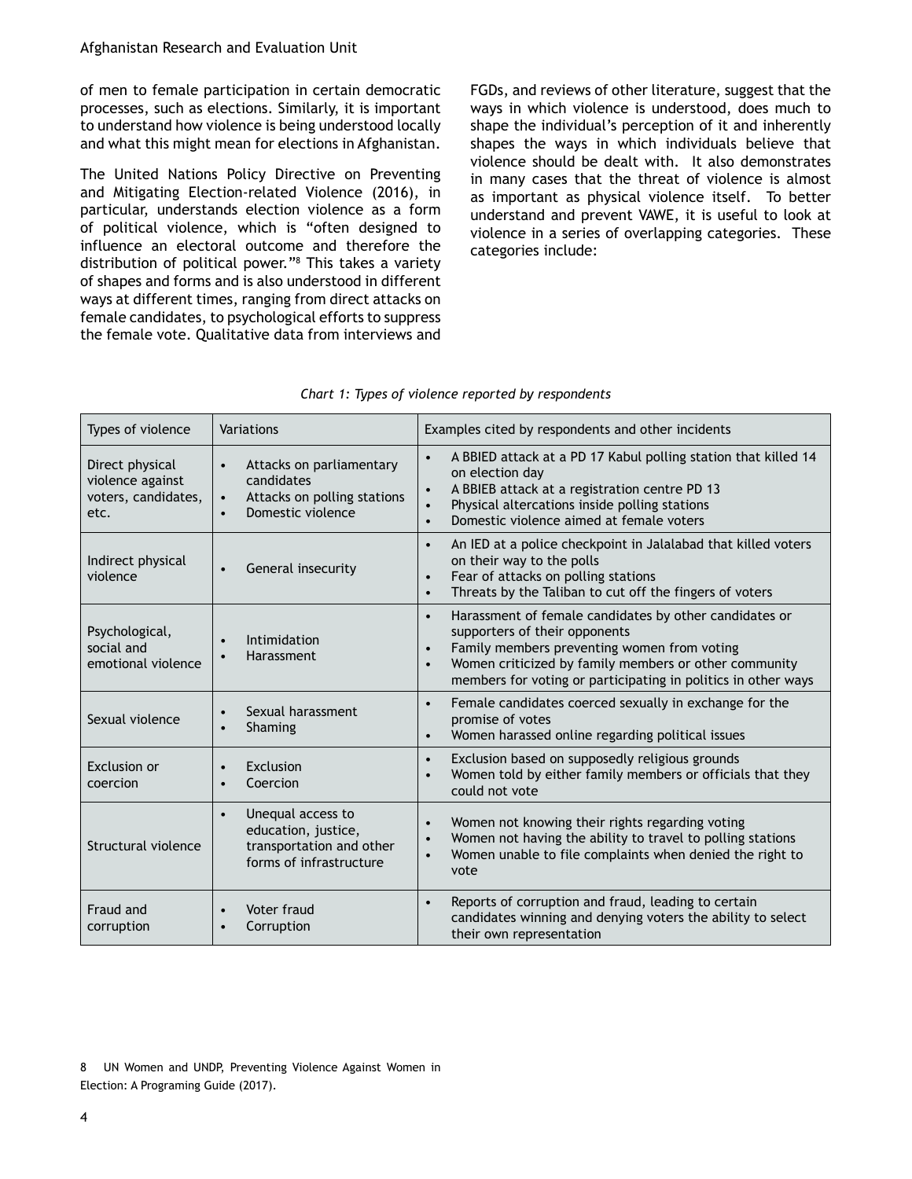of men to female participation in certain democratic processes, such as elections. Similarly, it is important to understand how violence is being understood locally and what this might mean for elections in Afghanistan.

The United Nations Policy Directive on Preventing and Mitigating Election-related Violence (2016), in particular, understands election violence as a form of political violence, which is "often designed to influence an electoral outcome and therefore the distribution of political power."8 This takes a variety of shapes and forms and is also understood in different ways at different times, ranging from direct attacks on female candidates, to psychological efforts to suppress the female vote. Qualitative data from interviews and

FGDs, and reviews of other literature, suggest that the ways in which violence is understood, does much to shape the individual's perception of it and inherently shapes the ways in which individuals believe that violence should be dealt with. It also demonstrates in many cases that the threat of violence is almost as important as physical violence itself. To better understand and prevent VAWE, it is useful to look at violence in a series of overlapping categories. These categories include:

| Types of violence                                                  | Variations                                                                                                                        | Examples cited by respondents and other incidents                                                                                                                                                                                                                                                       |  |  |
|--------------------------------------------------------------------|-----------------------------------------------------------------------------------------------------------------------------------|---------------------------------------------------------------------------------------------------------------------------------------------------------------------------------------------------------------------------------------------------------------------------------------------------------|--|--|
| Direct physical<br>violence against<br>voters, candidates,<br>etc. | Attacks on parliamentary<br>$\bullet$<br>candidates<br>Attacks on polling stations<br>$\bullet$<br>Domestic violence<br>$\bullet$ | A BBIED attack at a PD 17 Kabul polling station that killed 14<br>$\bullet$<br>on election day<br>A BBIEB attack at a registration centre PD 13<br>$\bullet$<br>Physical altercations inside polling stations<br>$\bullet$<br>Domestic violence aimed at female voters<br>$\bullet$                     |  |  |
| Indirect physical<br>violence                                      | General insecurity<br>$\bullet$                                                                                                   | An IED at a police checkpoint in Jalalabad that killed voters<br>$\bullet$<br>on their way to the polls<br>Fear of attacks on polling stations<br>$\bullet$<br>Threats by the Taliban to cut off the fingers of voters<br>$\bullet$                                                                     |  |  |
| Psychological,<br>social and<br>emotional violence                 | Intimidation<br>$\bullet$<br>Harassment<br>$\bullet$                                                                              | Harassment of female candidates by other candidates or<br>$\bullet$<br>supporters of their opponents<br>Family members preventing women from voting<br>$\bullet$<br>Women criticized by family members or other community<br>$\bullet$<br>members for voting or participating in politics in other ways |  |  |
| Sexual violence                                                    | Sexual harassment<br>$\bullet$<br>Shaming<br>$\bullet$                                                                            | Female candidates coerced sexually in exchange for the<br>$\bullet$<br>promise of votes<br>Women harassed online regarding political issues<br>$\bullet$                                                                                                                                                |  |  |
| Exclusion or<br>coercion                                           | Exclusion<br>$\bullet$<br>Coercion<br>$\bullet$                                                                                   | Exclusion based on supposedly religious grounds<br>$\bullet$<br>Women told by either family members or officials that they<br>$\bullet$<br>could not vote                                                                                                                                               |  |  |
| Structural violence                                                | Unequal access to<br>$\bullet$<br>education, justice,<br>transportation and other<br>forms of infrastructure                      | Women not knowing their rights regarding voting<br>$\bullet$<br>Women not having the ability to travel to polling stations<br>$\bullet$<br>Women unable to file complaints when denied the right to<br>$\bullet$<br>vote                                                                                |  |  |
| Fraud and<br>corruption                                            | Voter fraud<br>$\bullet$<br>Corruption<br>$\bullet$                                                                               | Reports of corruption and fraud, leading to certain<br>$\bullet$<br>candidates winning and denying voters the ability to select<br>their own representation                                                                                                                                             |  |  |

|  | Chart 1: Types of violence reported by respondents |  |
|--|----------------------------------------------------|--|

<sup>8</sup> UN Women and UNDP, Preventing Violence Against Women in Election: A Programing Guide (2017).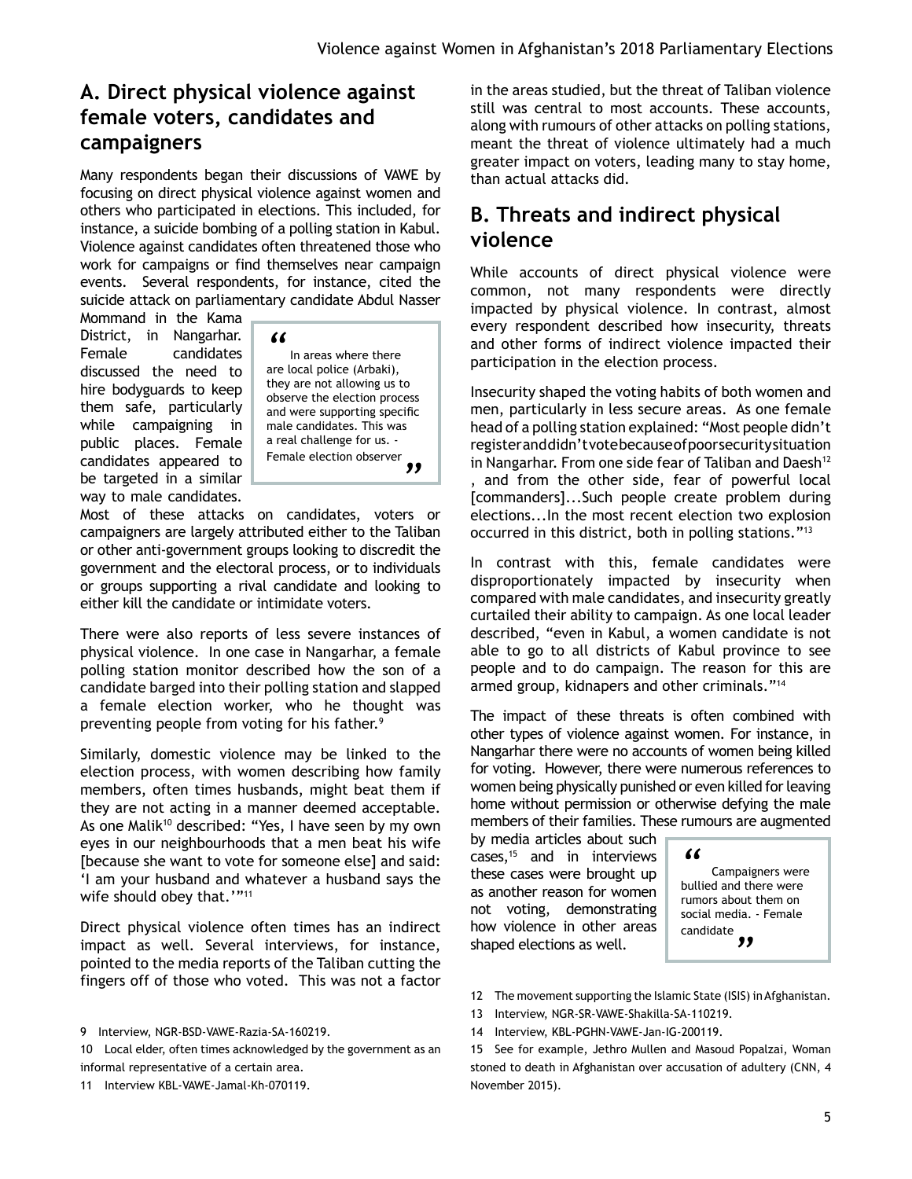# **A. Direct physical violence against female voters, candidates and campaigners**

Many respondents began their discussions of VAWE by focusing on direct physical violence against women and others who participated in elections. This included, for instance, a suicide bombing of a polling station in Kabul. Violence against candidates often threatened those who work for campaigns or find themselves near campaign events. Several respondents, for instance, cited the suicide attack on parliamentary candidate Abdul Nasser

Mommand in the Kama District, in Nangarhar. Female candidates discussed the need to hire bodyguards to keep them safe, particularly while campaigning in public places. Female candidates appeared to be targeted in a similar way to male candidates.

*"*

In areas where there are local police (Arbaki), they are not allowing us to observe the election process and were supporting specific male candidates. This was a real challenge for us. Female election observer *"*

Most of these attacks on candidates, voters or campaigners are largely attributed either to the Taliban or other anti-government groups looking to discredit the government and the electoral process, or to individuals or groups supporting a rival candidate and looking to either kill the candidate or intimidate voters.

There were also reports of less severe instances of physical violence. In one case in Nangarhar, a female polling station monitor described how the son of a candidate barged into their polling station and slapped a female election worker, who he thought was preventing people from voting for his father.<sup>9</sup>

Similarly, domestic violence may be linked to the election process, with women describing how family members, often times husbands, might beat them if they are not acting in a manner deemed acceptable. As one Malik<sup>10</sup> described: "Yes, I have seen by my own eyes in our neighbourhoods that a men beat his wife [because she want to vote for someone else] and said: 'I am your husband and whatever a husband says the wife should obey that.'"<sup>11</sup>

Direct physical violence often times has an indirect impact as well. Several interviews, for instance, pointed to the media reports of the Taliban cutting the fingers off of those who voted. This was not a factor

11 Interview KBL-VAWE-Jamal-Kh-070119.

in the areas studied, but the threat of Taliban violence still was central to most accounts. These accounts, along with rumours of other attacks on polling stations, meant the threat of violence ultimately had a much greater impact on voters, leading many to stay home, than actual attacks did.

### **B. Threats and indirect physical violence**

While accounts of direct physical violence were common, not many respondents were directly impacted by physical violence. In contrast, almost every respondent described how insecurity, threats and other forms of indirect violence impacted their participation in the election process.

Insecurity shaped the voting habits of both women and men, particularly in less secure areas. As one female head of a polling station explained: "Most people didn't register and didn't vote because of poor security situation in Nangarhar. From one side fear of Taliban and Daesh<sup>12</sup> and from the other side, fear of powerful local [commanders]...Such people create problem during elections...In the most recent election two explosion occurred in this district, both in polling stations."13

In contrast with this, female candidates were disproportionately impacted by insecurity when compared with male candidates, and insecurity greatly curtailed their ability to campaign. As one local leader described, "even in Kabul, a women candidate is not able to go to all districts of Kabul province to see people and to do campaign. The reason for this are armed group, kidnapers and other criminals."14

The impact of these threats is often combined with other types of violence against women. For instance, in Nangarhar there were no accounts of women being killed for voting. However, there were numerous references to women being physically punished or even killed for leaving home without permission or otherwise defying the male members of their families. These rumours are augmented

by media articles about such cases,15 and in interviews these cases were brought up as another reason for women not voting, demonstrating how violence in other areas shaped elections as well.

*"* Campaigners were bullied and there were rumors about them on social media. - Female

*"*

candidate

<sup>9</sup> Interview, NGR-BSD-VAWE-Razia-SA-160219.

<sup>10</sup> Local elder, often times acknowledged by the government as an informal representative of a certain area.

<sup>12</sup> The movement supporting the Islamic State (ISIS) in Afghanistan.

<sup>13</sup> Interview, NGR-SR-VAWE-Shakilla-SA-110219.

<sup>14</sup> Interview, KBL-PGHN-VAWE-Jan-IG-200119.

<sup>15</sup> See for example, Jethro Mullen and Masoud Popalzai, Woman stoned to death in Afghanistan over accusation of adultery (CNN, 4 November 2015).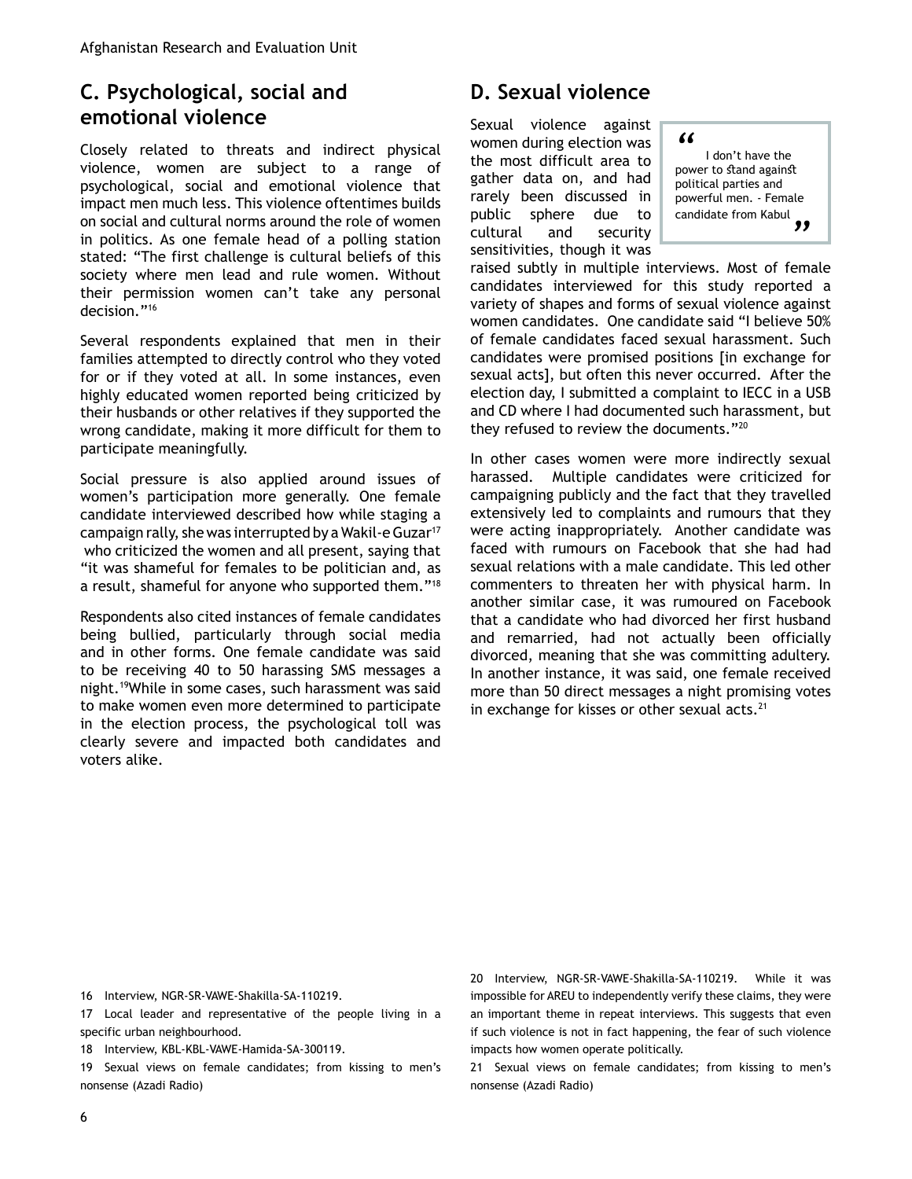### **C. Psychological, social and emotional violence**

Closely related to threats and indirect physical violence, women are subject to a range of psychological, social and emotional violence that impact men much less. This violence oftentimes builds on social and cultural norms around the role of women in politics. As one female head of a polling station stated: "The first challenge is cultural beliefs of this society where men lead and rule women. Without their permission women can't take any personal decision."16

Several respondents explained that men in their families attempted to directly control who they voted for or if they voted at all. In some instances, even highly educated women reported being criticized by their husbands or other relatives if they supported the wrong candidate, making it more difficult for them to participate meaningfully.

Social pressure is also applied around issues of women's participation more generally. One female candidate interviewed described how while staging a campaign rally, she was interrupted by a Wakil-e Guzar17 who criticized the women and all present, saying that "it was shameful for females to be politician and, as a result, shameful for anyone who supported them."18

Respondents also cited instances of female candidates being bullied, particularly through social media and in other forms. One female candidate was said to be receiving 40 to 50 harassing SMS messages a night.19While in some cases, such harassment was said to make women even more determined to participate in the election process, the psychological toll was clearly severe and impacted both candidates and voters alike.

# **D. Sexual violence**

Sexual violence against women during election was the most difficult area to gather data on, and had rarely been discussed in public sphere due to cultural and security sensitivities, though it was

*"* I don't have the power to stand against political parties and powerful men. - Female candidate from Kabul *"*

raised subtly in multiple interviews. Most of female candidates interviewed for this study reported a variety of shapes and forms of sexual violence against women candidates. One candidate said "I believe 50% of female candidates faced sexual harassment. Such candidates were promised positions [in exchange for sexual acts], but often this never occurred. After the election day, I submitted a complaint to IECC in a USB and CD where I had documented such harassment, but they refused to review the documents."20

In other cases women were more indirectly sexual harassed. Multiple candidates were criticized for campaigning publicly and the fact that they travelled extensively led to complaints and rumours that they were acting inappropriately. Another candidate was faced with rumours on Facebook that she had had sexual relations with a male candidate. This led other commenters to threaten her with physical harm. In another similar case, it was rumoured on Facebook that a candidate who had divorced her first husband and remarried, had not actually been officially divorced, meaning that she was committing adultery. In another instance, it was said, one female received more than 50 direct messages a night promising votes in exchange for kisses or other sexual acts. $21$ 

16 Interview, NGR-SR-VAWE-Shakilla-SA-110219.

17 Local leader and representative of the people living in a specific urban neighbourhood.

18 Interview, KBL-KBL-VAWE-Hamida-SA-300119.

19 Sexual views on female candidates; from kissing to men's nonsense (Azadi Radio)

20 Interview, NGR-SR-VAWE-Shakilla-SA-110219. While it was impossible for AREU to independently verify these claims, they were an important theme in repeat interviews. This suggests that even if such violence is not in fact happening, the fear of such violence impacts how women operate politically.

21 Sexual views on female candidates; from kissing to men's nonsense (Azadi Radio)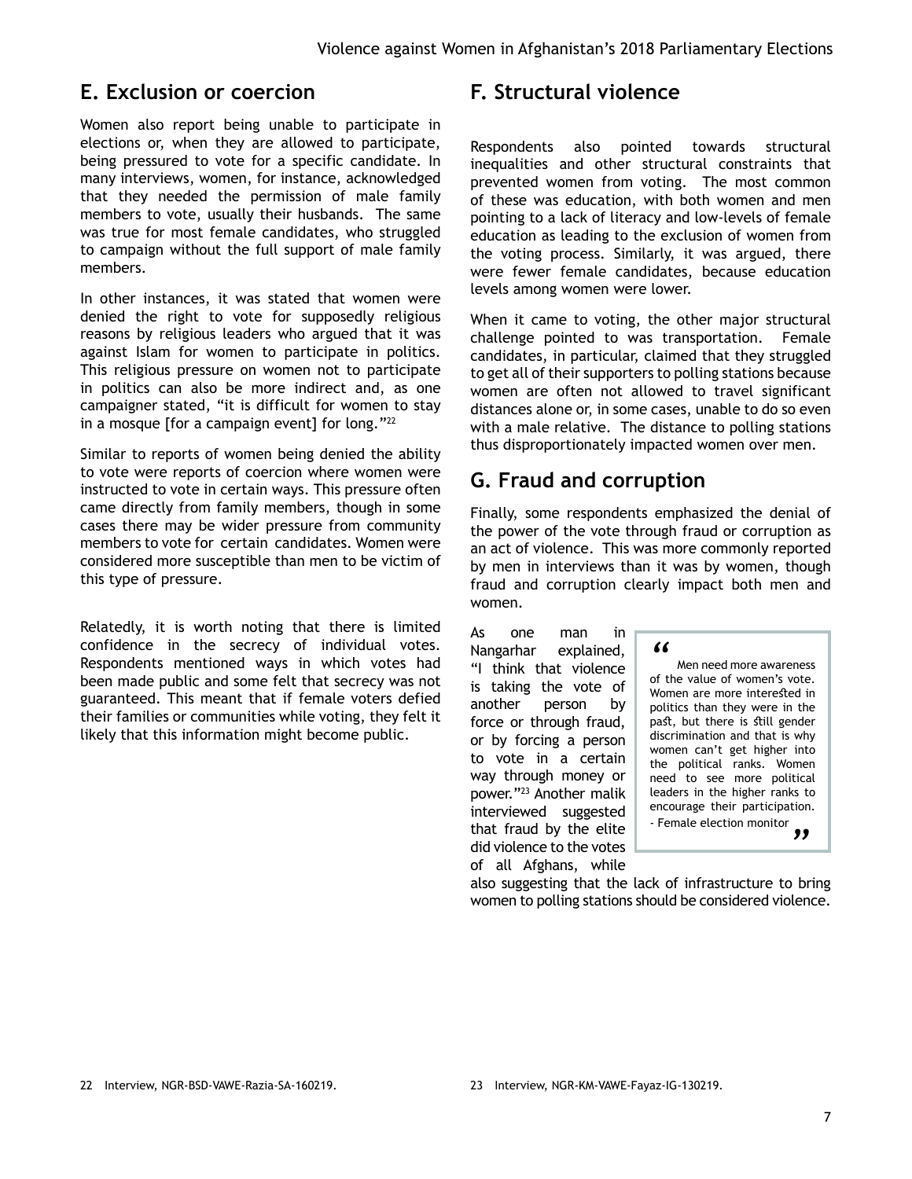#### **E. Exclusion or coercion**

Women also report being unable to participate in elections or, when they are allowed to participate, being pressured to vote for a specific candidate. In many interviews, women, for instance, acknowledged that they needed the permission of male family members to vote, usually their husbands. The same was true for most female candidates, who struggled to campaign without the full support of male family members.

In other instances, it was stated that women were denied the right to vote for supposedly religious reasons by religious leaders who argued that it was against Islam for women to participate in politics. This religious pressure on women not to participate in politics can also be more indirect and, as one campaigner stated, "it is difficult for women to stay in a mosque [for a campaign event] for long."<sup>22</sup>

Similar to reports of women being denied the ability to vote were reports of coercion where women were instructed to vote in certain ways. This pressure often came directly from family members, though in some cases there may be wider pressure from community members to vote for certain candidates. Women were considered more susceptible than men to be victim of this type of pressure.

Relatedly, it is worth noting that there is limited confidence in the secrecy of individual votes. Respondents mentioned ways in which votes had been made public and some felt that secrecy was not guaranteed. This meant that if female voters defied their families or communities while voting, they felt it likely that this information might become public.

### **F. Structural violence**

Respondents also pointed towards structural inequalities and other structural constraints that prevented women from voting. The most common of these was education, with both women and men pointing to a lack of literacy and low-levels of female education as leading to the exclusion of women from the voting process. Similarly, it was argued, there were fewer female candidates, because education levels among women were lower.

When it came to voting, the other major structural challenge pointed to was transportation. Female candidates, in particular, claimed that they struggled to get all of their supporters to polling stations because women are often not allowed to travel significant distances alone or, in some cases, unable to do so even with a male relative. The distance to polling stations thus disproportionately impacted women over men.

## **G. Fraud and corruption**

Finally, some respondents emphasized the denial of the power of the vote through fraud or corruption as an act of violence. This was more commonly reported by men in interviews than it was by women, though fraud and corruption clearly impact both men and women.

As one man in Nangarhar explained, "I think that violence is taking the vote of another person by force or through fraud, or by forcing a person to vote in a certain way through money or power."23 Another malik interviewed suggested that fraud by the elite did violence to the votes of all Afghans, while

*"* Men need more awareness of the value of women's vote. Women are more interested in politics than they were in the past, but there is still gender discrimination and that is why women can't get higher into the political ranks. Women need to see more political leaders in the higher ranks to encourage their participation. - Female election monitor .10N<br>99

also suggesting that the lack of infrastructure to bring women to polling stations should be considered violence.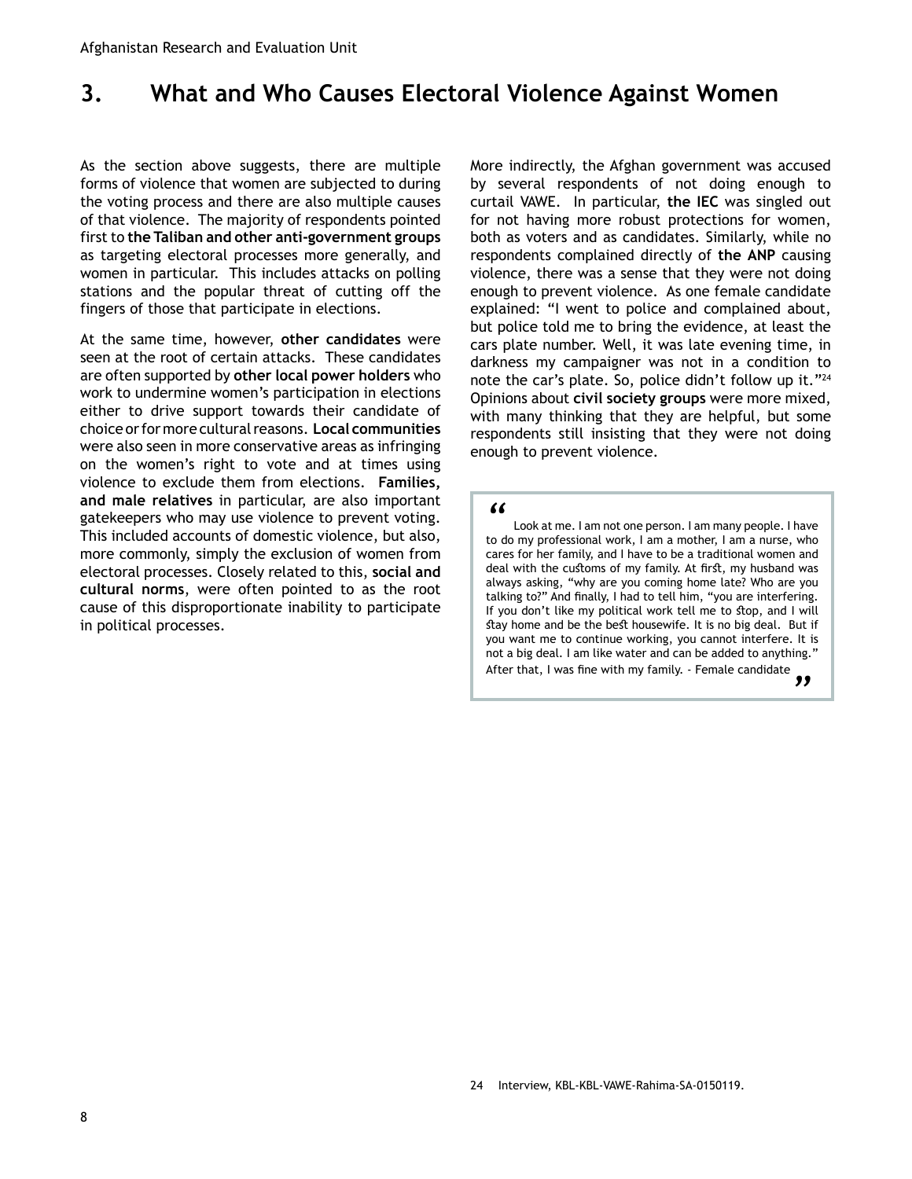# <span id="page-7-0"></span>**3. What and Who Causes Electoral Violence Against Women**

As the section above suggests, there are multiple forms of violence that women are subjected to during the voting process and there are also multiple causes of that violence. The majority of respondents pointed first to **the Taliban and other anti-government groups** as targeting electoral processes more generally, and women in particular. This includes attacks on polling stations and the popular threat of cutting off the fingers of those that participate in elections.

At the same time, however, **other candidates** were seen at the root of certain attacks. These candidates are often supported by **other local power holders** who work to undermine women's participation in elections either to drive support towards their candidate of choice or for more cultural reasons. **Local communities** were also seen in more conservative areas as infringing on the women's right to vote and at times using violence to exclude them from elections. **Families, and male relatives** in particular, are also important gatekeepers who may use violence to prevent voting. This included accounts of domestic violence, but also, more commonly, simply the exclusion of women from electoral processes. Closely related to this, **social and cultural norms**, were often pointed to as the root cause of this disproportionate inability to participate in political processes.

More indirectly, the Afghan government was accused by several respondents of not doing enough to curtail VAWE. In particular, **the IEC** was singled out for not having more robust protections for women, both as voters and as candidates. Similarly, while no respondents complained directly of **the ANP** causing violence, there was a sense that they were not doing enough to prevent violence. As one female candidate explained: "I went to police and complained about, but police told me to bring the evidence, at least the cars plate number. Well, it was late evening time, in darkness my campaigner was not in a condition to note the car's plate. So, police didn't follow up it."<sup>24</sup> Opinions about **civil society groups** were more mixed, with many thinking that they are helpful, but some respondents still insisting that they were not doing enough to prevent violence.

*"* Look at me. I am not one person. I am many people. I have to do my professional work, I am a mother, I am a nurse, who cares for her family, and I have to be a traditional women and deal with the customs of my family. At first, my husband was always asking, "why are you coming home late? Who are you talking to?" And finally, I had to tell him, "you are interfering. If you don't like my political work tell me to stop, and I will stay home and be the best housewife. It is no big deal. But if you want me to continue working, you cannot interfere. It is not a big deal. I am like water and can be added to anything." After that, I was fine with my family. - Female candidate ng."<br>*"*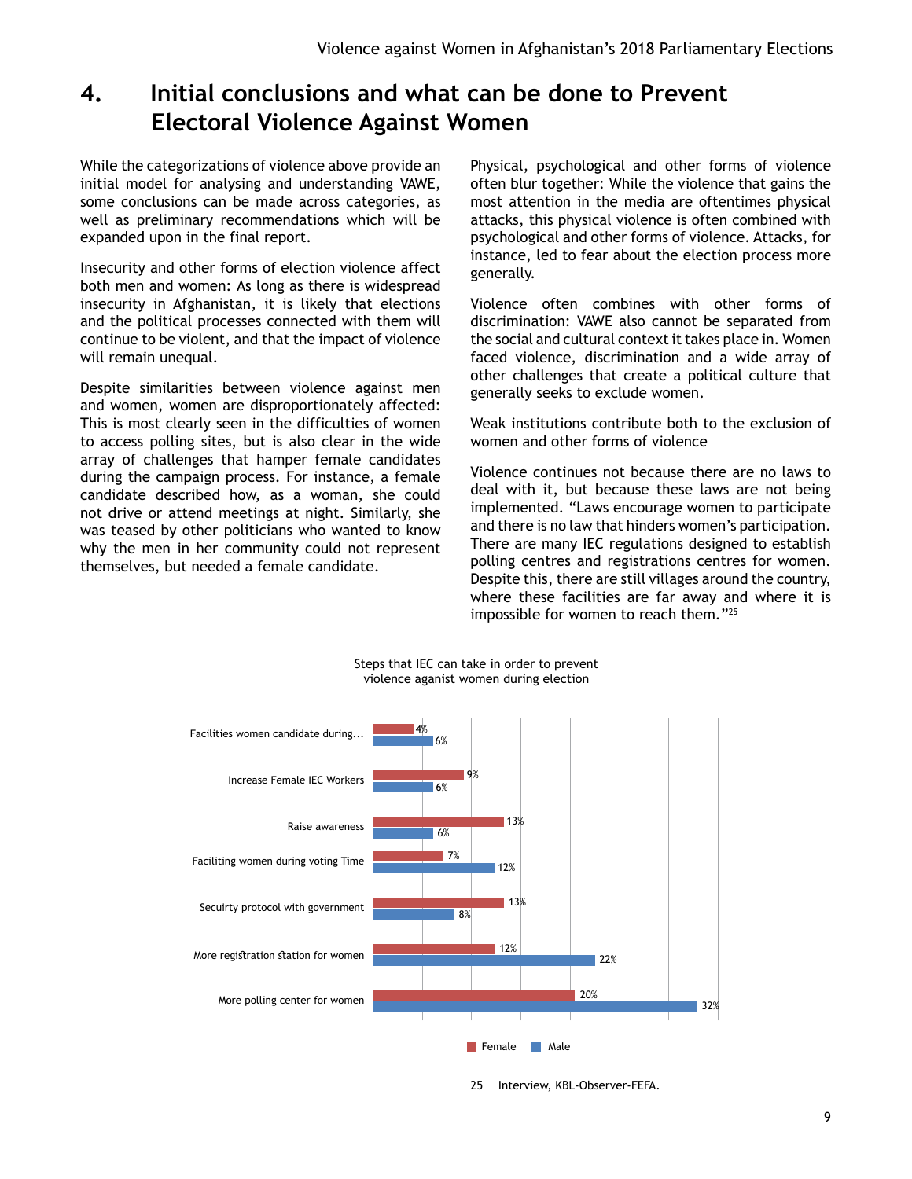# <span id="page-8-0"></span>**4. Initial conclusions and what can be done to Prevent Electoral Violence Against Women**

While the categorizations of violence above provide an initial model for analysing and understanding VAWE, some conclusions can be made across categories, as well as preliminary recommendations which will be expanded upon in the final report.

Insecurity and other forms of election violence affect both men and women: As long as there is widespread insecurity in Afghanistan, it is likely that elections and the political processes connected with them will continue to be violent, and that the impact of violence will remain unequal.

Despite similarities between violence against men and women, women are disproportionately affected: This is most clearly seen in the difficulties of women to access polling sites, but is also clear in the wide array of challenges that hamper female candidates during the campaign process. For instance, a female candidate described how, as a woman, she could not drive or attend meetings at night. Similarly, she was teased by other politicians who wanted to know why the men in her community could not represent themselves, but needed a female candidate.

Physical, psychological and other forms of violence often blur together: While the violence that gains the most attention in the media are oftentimes physical attacks, this physical violence is often combined with psychological and other forms of violence. Attacks, for instance, led to fear about the election process more generally.

Violence often combines with other forms of discrimination: VAWE also cannot be separated from the social and cultural context it takes place in. Women faced violence, discrimination and a wide array of other challenges that create a political culture that generally seeks to exclude women.

Weak institutions contribute both to the exclusion of women and other forms of violence

Violence continues not because there are no laws to deal with it, but because these laws are not being implemented. "Laws encourage women to participate and there is no law that hinders women's participation. There are many IEC regulations designed to establish polling centres and registrations centres for women. Despite this, there are still villages around the country, where these facilities are far away and where it is impossible for women to reach them."25



Steps that IEC can take in order to prevent violence aganist women during election

25 Interview, KBL-Observer-FEFA.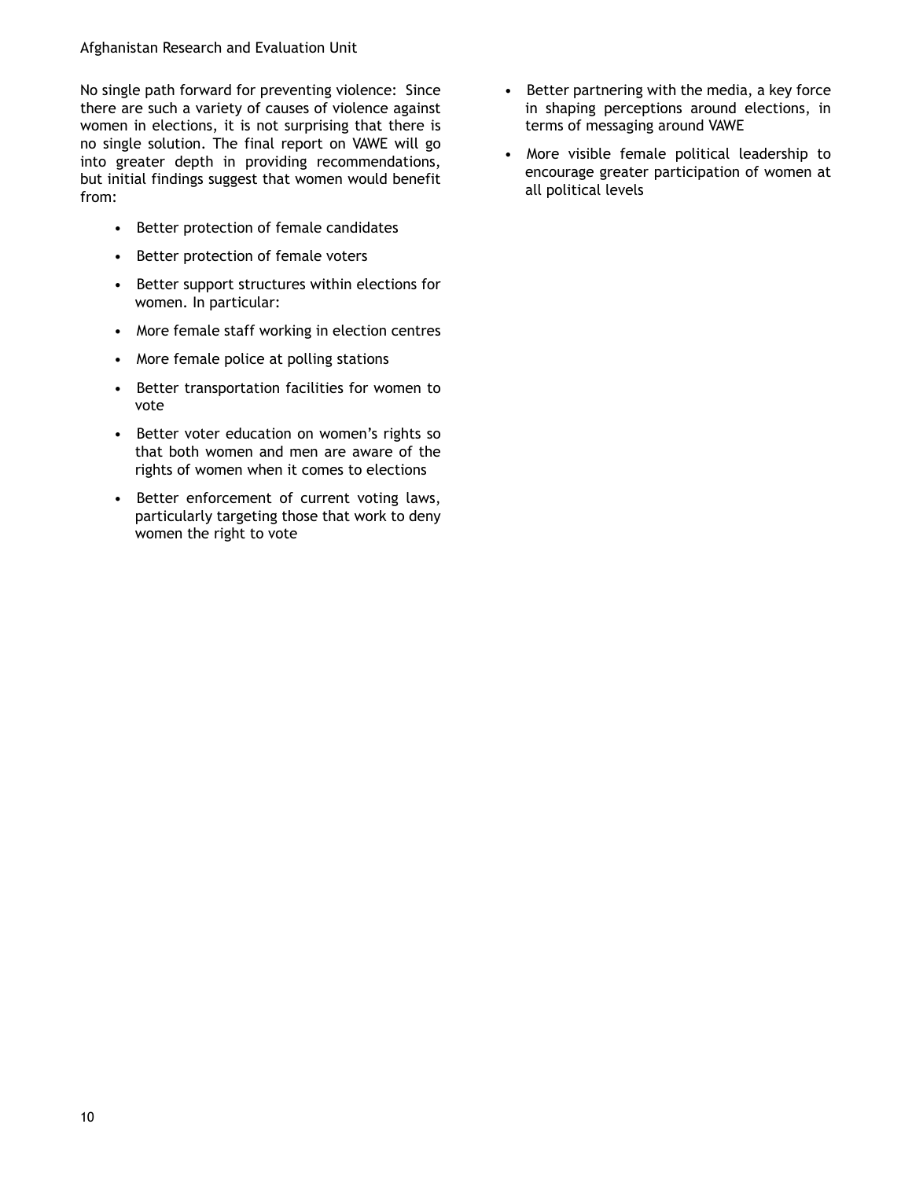No single path forward for preventing violence: Since there are such a variety of causes of violence against women in elections, it is not surprising that there is no single solution. The final report on VAWE will go into greater depth in providing recommendations, but initial findings suggest that women would benefit from:

- Better protection of female candidates
- Better protection of female voters
- Better support structures within elections for women. In particular:
- More female staff working in election centres
- More female police at polling stations
- Better transportation facilities for women to vote
- Better voter education on women's rights so that both women and men are aware of the rights of women when it comes to elections
- Better enforcement of current voting laws, particularly targeting those that work to deny women the right to vote
- Better partnering with the media, a key force in shaping perceptions around elections, in terms of messaging around VAWE
- More visible female political leadership to encourage greater participation of women at all political levels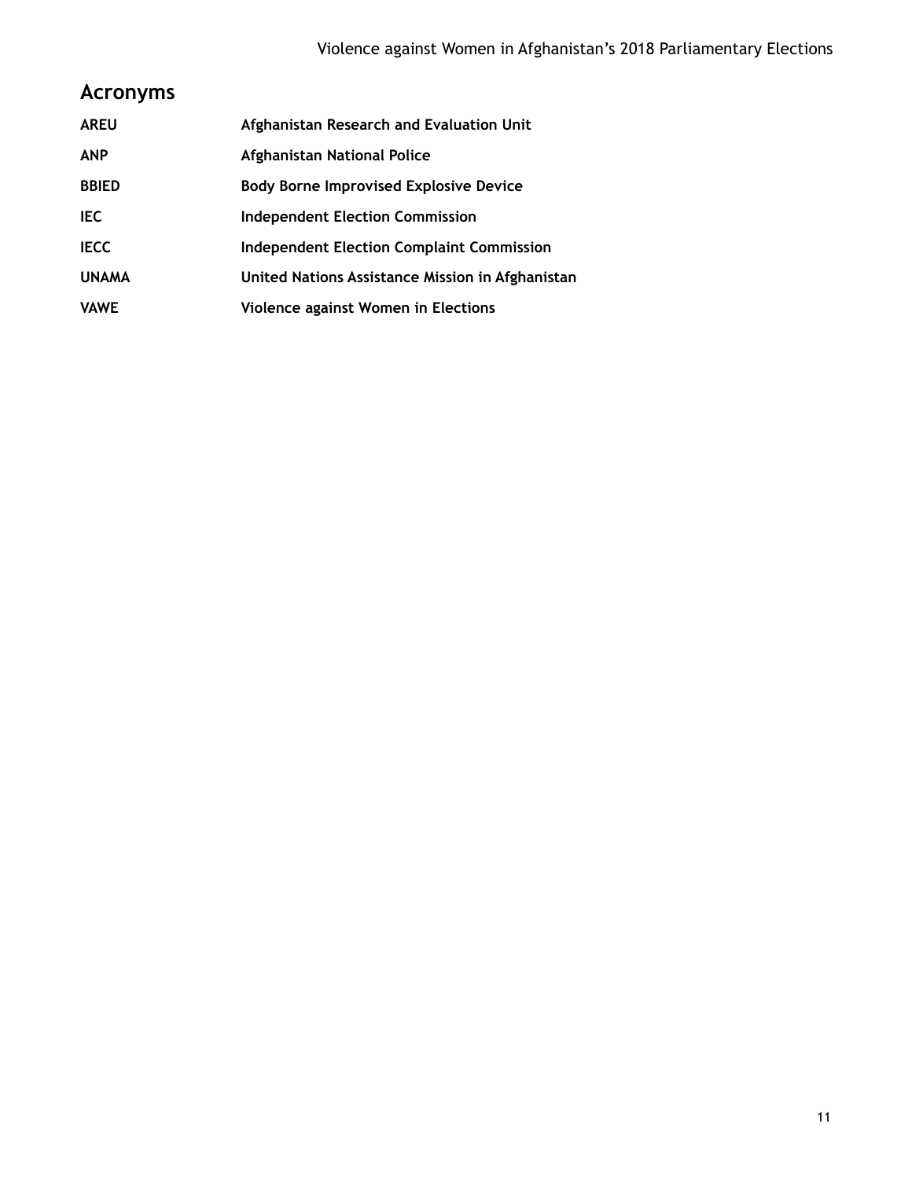# **Acronyms**

| <b>AREU</b>  | Afghanistan Research and Evaluation Unit         |
|--------------|--------------------------------------------------|
| <b>ANP</b>   | Afghanistan National Police                      |
| <b>BBIED</b> | <b>Body Borne Improvised Explosive Device</b>    |
| IEC.         | <b>Independent Election Commission</b>           |
| <b>IECC</b>  | <b>Independent Election Complaint Commission</b> |
| <b>UNAMA</b> | United Nations Assistance Mission in Afghanistan |
| <b>VAWE</b>  | Violence against Women in Elections              |
|              |                                                  |